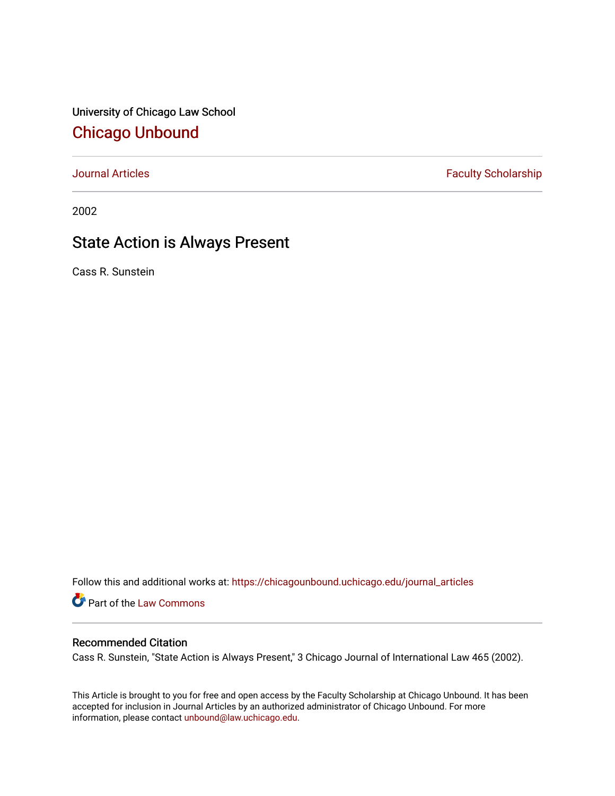University of Chicago Law School [Chicago Unbound](https://chicagounbound.uchicago.edu/)

[Journal Articles](https://chicagounbound.uchicago.edu/journal_articles) **Faculty Scholarship Faculty Scholarship** 

2002

## State Action is Always Present

Cass R. Sunstein

Follow this and additional works at: [https://chicagounbound.uchicago.edu/journal\\_articles](https://chicagounbound.uchicago.edu/journal_articles?utm_source=chicagounbound.uchicago.edu%2Fjournal_articles%2F8561&utm_medium=PDF&utm_campaign=PDFCoverPages) 

Part of the [Law Commons](http://network.bepress.com/hgg/discipline/578?utm_source=chicagounbound.uchicago.edu%2Fjournal_articles%2F8561&utm_medium=PDF&utm_campaign=PDFCoverPages)

## Recommended Citation

Cass R. Sunstein, "State Action is Always Present," 3 Chicago Journal of International Law 465 (2002).

This Article is brought to you for free and open access by the Faculty Scholarship at Chicago Unbound. It has been accepted for inclusion in Journal Articles by an authorized administrator of Chicago Unbound. For more information, please contact [unbound@law.uchicago.edu](mailto:unbound@law.uchicago.edu).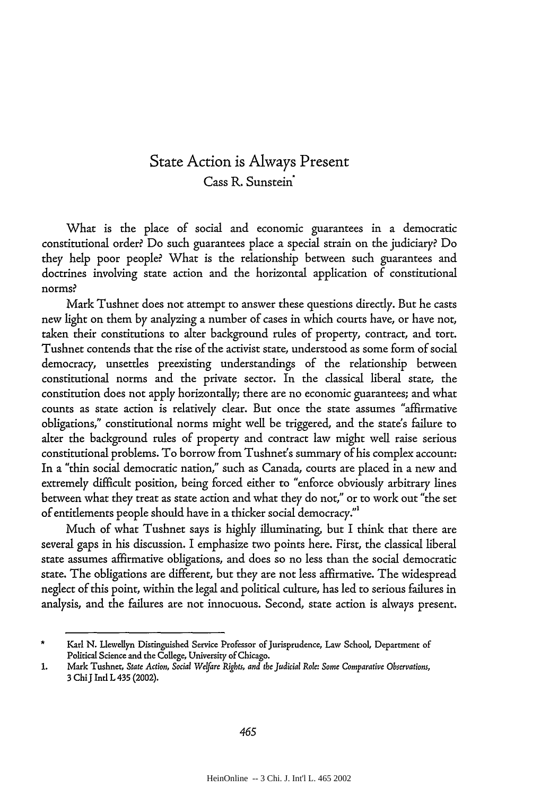## State Action is Always Present Cass R. Sunstein

What is the place of social and economic guarantees in a democratic constitutional order? Do such guarantees place a special strain on the judiciary? Do they help poor people? What is the relationship between such guarantees and doctrines involving state action and the horizontal application of constitutional norms?

Mark Tushnet does not attempt to answer these questions directly. But he casts new light on them by analyzing a number of cases in which courts have, or have not, taken their constitutions to alter background rules of property, contract, and tort. Tushnet contends that the rise of the activist state, understood as some form of social democracy, unsettles preexisting understandings of the relationship between constitutional norms and the private sector. In the classical liberal state, the constitution does not apply horizontally; there are no economic guarantees; and what counts as state action is relatively clear. But once the state assumes "affirmative obligations," constitutional norms might well be triggered, and the state's failure to alter the background rules of property and contract law might well raise serious constitutional problems. To borrow from Tushnet's summary of his complex account: In a "thin social democratic nation," such as Canada, courts are placed in a new and extremely difficult position, being forced either to "enforce obviously arbitrary lines between what they treat as state action and what they do not," or to work out "the set of entitlements people should have in a thicker social democracy."

Much of what Tushnet says is highly illuminating, but I think that there are several gaps in his discussion. I emphasize two points here. First, the classical liberal state assumes affirmative obligations, and does so no less than the social democratic state. The obligations are different, but they are not less affirmative. The widespread neglect of this point, within the legal and political culture, has led to serious failures in analysis, and the failures are not innocuous. Second, state action is always present.

**<sup>\*</sup>** Karl **N.** Llewellyn Distinguished Service Professor of Jurisprudence, Law School, Department **of** Political Science and the College, University of Chicago.

**<sup>1.</sup>** Mark Tushner, *State Action, Social Welfare Rights, and the Judicial Role: Some Comparative Observations,* **3** ChiJ Intl L 435 (2002).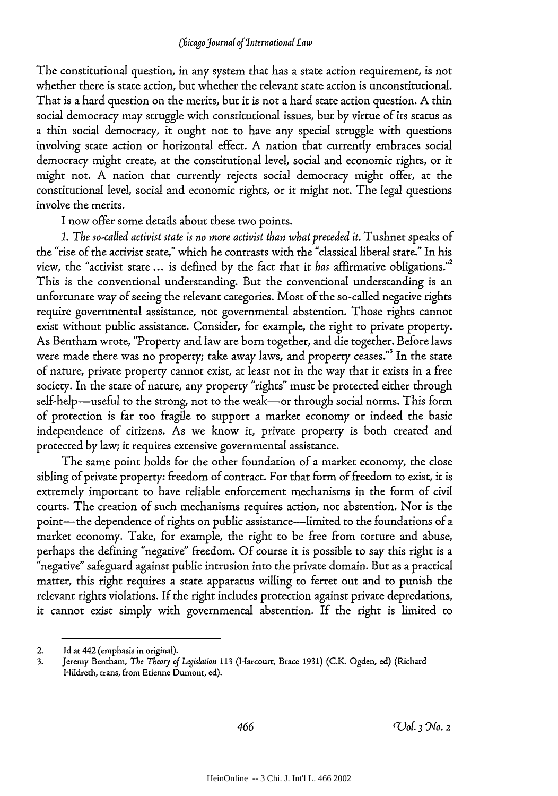The constitutional question, in any system that has a state action requirement, is not whether there is state action, but whether the relevant state action is unconstitutional. That is a hard question on the merits, but it is not a hard state action question. A thin social democracy may struggle with constitutional issues, but by virtue of its status as a thin social democracy, it ought not to have any special struggle with questions involving state action or horizontal effect. A nation that currently embraces social democracy might create, at the constitutional level, social and economic rights, or it might not. A nation that currently rejects social democracy might offer, at the constitutional level, social and economic rights, or it might not. The legal questions involve the merits.

I now offer some details about these two points.

**1.** *The so-called activist state is no more activist than what preceded it.* Tushnet speaks of the "rise of the activist state," which he contrasts with the "classical liberal state." In his view, the "activist state ... is defined by the fact that it *has* affirmative obligations."2 This is the conventional understanding. But the conventional understanding is an unfortunate way of seeing the relevant categories. Most of the so-called negative rights require governmental assistance, not governmental abstention. Those rights cannot exist without public assistance. Consider, for example, the right to private property. As Bentham wrote, "Property and law are born together, and die together. Before laws were made there was no property; take away laws, and property ceases."' In the state of nature, private property cannot exist, at least not in the way that it exists in a free society. In the state of nature, any property "rights" must be protected either through self-help-useful to the strong, not to the weak-or through social norms. This form of protection is far too fragile to support a market economy or indeed the basic independence of citizens. As we know it, private property is both created and protected by law; it requires extensive governmental assistance.

The same point holds for the other foundation of a market economy, the close sibling of private property: freedom of contract. For that form of freedom to exist, it is extremely important to have reliable enforcement mechanisms in the form of civil courts. The creation of such mechanisms requires action, not abstention. Nor is the point—the dependence of rights on public assistance—limited to the foundations of a market economy. Take, for example, the right to be free from torture and abuse, perhaps the defining "negative" freedom. Of course it is possible to say this right is a "negative" safeguard against public intrusion into the private domain. But as a practical matter, this right requires a state apparatus willing to ferret out and to punish the relevant rights violations. If the right includes protection against private depredations, it cannot exist simply with governmental abstention. If the right is limited to

<sup>2.</sup> **Id** at 442 (emphasis in original).

**<sup>3.</sup>** Jeremy Bentham, *The Theory of Legislation* **113** (Harcourt, Brace **1931)** (C.K. Ogden, ed) (Richard Hildreth, trans, from Etienne Dumont, ed).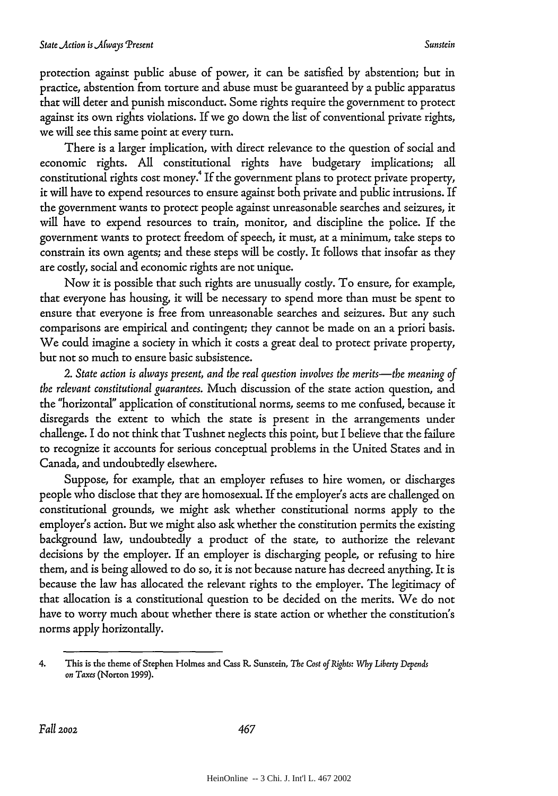protection against public abuse of power, it can be satisfied by abstention; but in practice, abstention from torture and abuse must be guaranteed by a public apparatus that will deter and punish misconduct. Some rights require the government to protect against its own rights violations. If we go down the list of conventional private rights, we will see this same point at every turn.

There is a larger implication, with direct relevance to the question of social and economic rights. All constitutional rights have budgetary implications; all constitutional rights cost money.' If the government plans to protect private property, it will have to expend resources to ensure against both private and public intrusions. If the government wants to protect people against unreasonable searches and seizures, it will have to expend resources to train, monitor, and discipline the police. If the government wants to protect freedom of speech, it must, at a minimum, take steps to constrain its own agents; and these steps will be costly. It follows that insofar as they are costly, social and economic rights are not unique.

Now it is possible that such rights are unusually costly. To ensure, for example, that everyone has housing, it will be necessary to spend more than must be spent to ensure that everyone is free from unreasonable searches and seizures. But any such comparisons are empirical and contingent; they cannot be made on an a priori basis. We could imagine a society in which it costs a great deal to protect private property, but not so much to ensure basic subsistence.

2. State action is always present, and the real question involves the merits—the meaning of *the relevant constitutional guarantees.* Much discussion of the state action question, and the "horizontal" application of constitutional norms, seems to me confused, because it disregards the extent to which the state is present in the arrangements under challenge. I do not think that Tushnet neglects this point, but I believe that the failure to recognize it accounts for serious conceptual problems in the United States and in Canada, and undoubtedly elsewhere.

Suppose, for example, that an employer refuses to hire women, or discharges people who disclose that they are homosexual. If the employer's acts are challenged on constitutional grounds, we might ask whether constitutional norms apply to the employer's action. But we might also ask whether the constitution permits the existing background law, undoubtedly a product of the state, to authorize the relevant decisions by the employer. If an employer is discharging people, or refusing to hire them, and is being allowed to do so, it is not because nature has decreed anything. It is because the law has allocated the relevant rights to the employer. The legitimacy of that allocation is a constitutional question to be decided on the merits. We do not have to worry much about whether there is state action or whether the constitution's norms apply horizontally.

<sup>4.</sup> This is the theme of Stephen Holmes and Cass R. Sunstein, *The Cost of Rights: Why Liberty Depends on Taxes* (Norton 1999).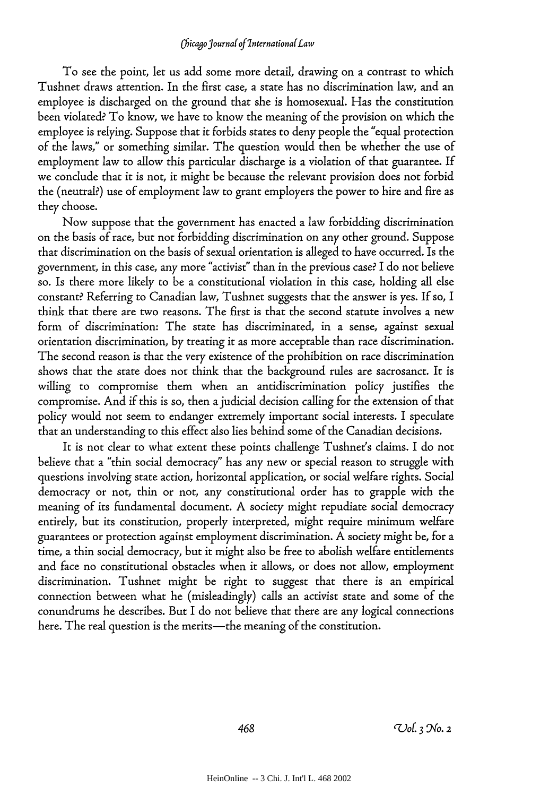## *Chicasojournafof Iternationa(Law*

To see the point, let us add some more detail, drawing on a contrast to which Tushnet draws attention. In the first case, a state has no discrimination law, and an employee is discharged on the ground that she is homosexual. Has the constitution been violated? To know, we have to know the meaning of the provision on which the employee is relying. Suppose that it forbids states to deny people the "equal protection of the laws," or something similar. The question would then be whether the use of employment law to allow this particular discharge is a violation of that guarantee. If we conclude that it is not, it might be because the relevant provision does not forbid the (neutral?) use of employment law to grant employers the power to hire and fire as they choose.

Now suppose that the government has enacted a law forbidding discrimination on the basis of race, but not forbidding discrimination on any other ground. Suppose that discrimination on the basis of sexual orientation is alleged to have occurred. Is the government, in this case, any more "activist" than in the previous case? I do not believe so. Is there more likely to be a constitutional violation in this case, holding all else constant? Referring to Canadian law, Tushnet suggests that the answer is yes. If so, I think that there are two reasons. The first is that the second statute involves a new form of discrimination: The state has discriminated, in a sense, against sexual orientation discrimination, by treating it as more acceptable than race discrimination. The second reason is that the very existence of the prohibition on race discrimination shows that the state does not think that the background rules are sacrosanct. It is willing to compromise them when an antidiscrimination policy justifies the compromise. And if this is so, then a judicial decision calling for the extension of that policy would not seem to endanger extremely important social interests. I speculate that an understanding to this effect also lies behind some of the Canadian decisions.

It is not clear to what extent these points challenge Tushnet's claims. I do not believe that a "thin social democracy' has any new or special reason to struggle with questions involving state action, horizontal application, or social welfare rights. Social democracy or not, thin or not, any constitutional order has to grapple with the meaning of its fundamental document. A society might repudiate social democracy entirely, but its constitution, properly interpreted, might require minimum welfare guarantees or protection against employment discrimination. A society might be, for a time, a thin social democracy, but it might also be free to abolish welfare entitlements and face no constitutional obstacles when it allows, or does not allow, employment discrimination. Tushnet might be right to suggest that there is an empirical connection between what he (misleadingly) calls an activist state and some of the conundrums he describes. But I do not believe that there are any logical connections here. The real question is the merits-the meaning of the constitution.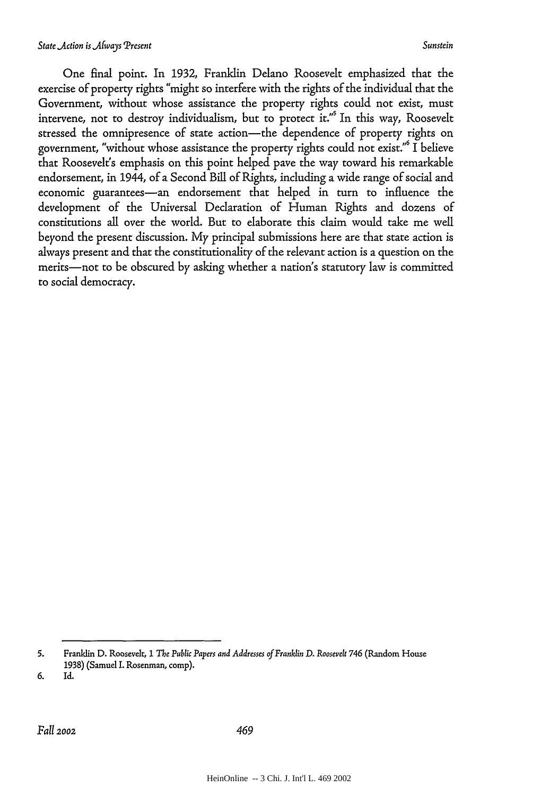One final point. In 1932, Franklin Delano Roosevelt emphasized that the exercise of property rights "might so interfere with the rights of the individual that the Government, without whose assistance the property rights could not exist, must intervene, not to destroy individualism, but to protect it." In this way, Roosevelt stressed the omnipresence of state action-the dependence of property rights on government, without whose assistance the property rights could not exist." I believe that Roosevelt's emphasis on this point helped pave the way toward his remarkable endorsement, in 1944, of a Second Bill of Rights, including a wide range of social and economic guarantees-an endorsement that helped in turn to influence the development of the Universal Declaration of Human Rights and dozens of constitutions all over the world. But to elaborate this claim would take me well beyond the present discussion. My principal submissions here are that state action is always present and that the constitutionality of the relevant action is a question on the merits—not to be obscured by asking whether a nation's statutory law is committed to social democracy.

<sup>5.</sup> Franklin D. Roosevelt, **1** *The Public Papers and Addresses of Franklin D. Roosevelt* 746 (Random House 1938) (Samuel I. Rosenman, comp).

<sup>6.</sup> Id.